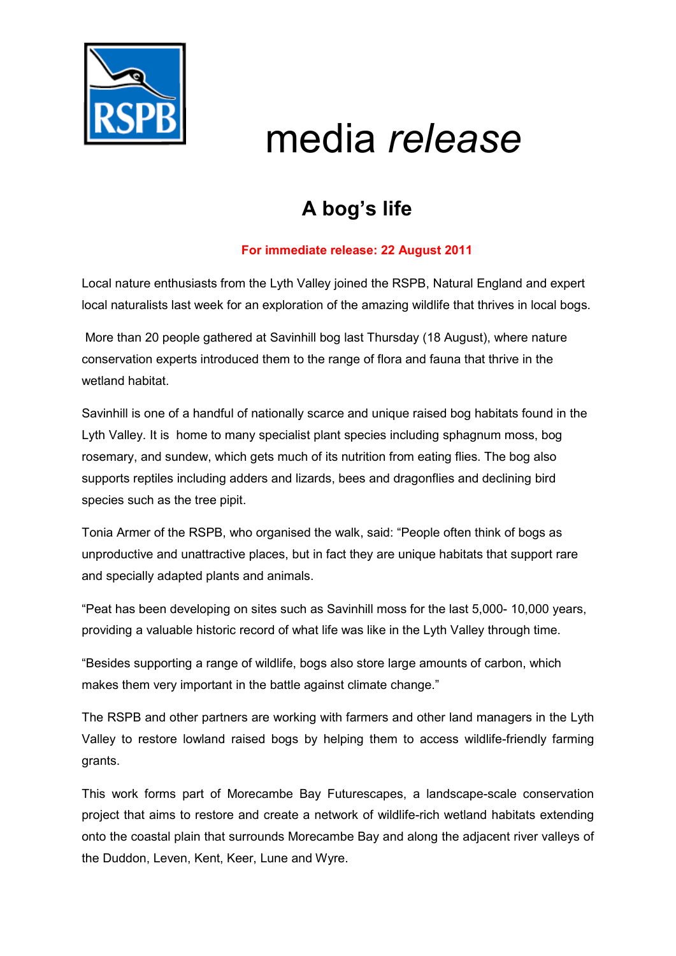

# media *release*

## **A bog's life**

### **For immediate release: 22 August 2011**

Local nature enthusiasts from the Lyth Valley joined the RSPB, Natural England and expert local naturalists last week for an exploration of the amazing wildlife that thrives in local bogs.

 More than 20 people gathered at Savinhill bog last Thursday (18 August), where nature conservation experts introduced them to the range of flora and fauna that thrive in the wetland habitat.

Savinhill is one of a handful of nationally scarce and unique raised bog habitats found in the Lyth Valley. It is home to many specialist plant species including sphagnum moss, bog rosemary, and sundew, which gets much of its nutrition from eating flies. The bog also supports reptiles including adders and lizards, bees and dragonflies and declining bird species such as the tree pipit.

Tonia Armer of the RSPB, who organised the walk, said: "People often think of bogs as unproductive and unattractive places, but in fact they are unique habitats that support rare and specially adapted plants and animals.

"Peat has been developing on sites such as Savinhill moss for the last 5,000- 10,000 years, providing a valuable historic record of what life was like in the Lyth Valley through time.

"Besides supporting a range of wildlife, bogs also store large amounts of carbon, which makes them very important in the battle against climate change."

The RSPB and other partners are working with farmers and other land managers in the Lyth Valley to restore lowland raised bogs by helping them to access wildlife-friendly farming grants.

This work forms part of Morecambe Bay Futurescapes, a landscape-scale conservation project that aims to restore and create a network of wildlife-rich wetland habitats extending onto the coastal plain that surrounds Morecambe Bay and along the adjacent river valleys of the Duddon, Leven, Kent, Keer, Lune and Wyre.